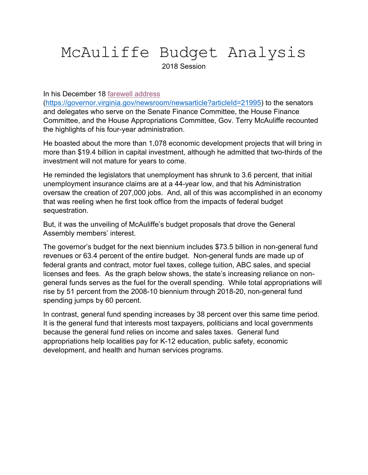# McAuliffe Budget Analysis 2018 Session

In his December 18 farewell address

(https://governor.virginia.gov/newsroom/newsarticle?articleId=21995) to the senators and delegates who serve on the Senate Finance Committee, the House Finance Committee, and the House Appropriations Committee, Gov. Terry McAuliffe recounted the highlights of his four-year administration.

He boasted about the more than 1,078 economic development projects that will bring in more than \$19.4 billion in capital investment, although he admitted that two-thirds of the investment will not mature for years to come.

He reminded the legislators that unemployment has shrunk to 3.6 percent, that initial unemployment insurance claims are at a 44-year low, and that his Administration oversaw the creation of 207,000 jobs. And, all of this was accomplished in an economy that was reeling when he first took office from the impacts of federal budget sequestration.

But, it was the unveiling of McAuliffe's budget proposals that drove the General Assembly members' interest.

The governor's budget for the next biennium includes \$73.5 billion in non-general fund revenues or 63.4 percent of the entire budget. Non-general funds are made up of federal grants and contract, motor fuel taxes, college tuition, ABC sales, and special licenses and fees. As the graph below shows, the state's increasing reliance on nongeneral funds serves as the fuel for the overall spending. While total appropriations will rise by 51 percent from the 2008-10 biennium through 2018-20, non-general fund spending jumps by 60 percent.

In contrast, general fund spending increases by 38 percent over this same time period. It is the general fund that interests most taxpayers, politicians and local governments because the general fund relies on income and sales taxes. General fund appropriations help localities pay for K-12 education, public safety, economic development, and health and human services programs.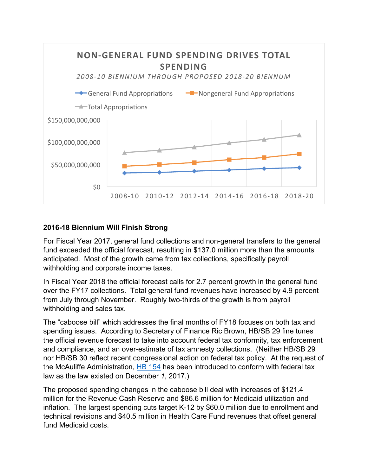

## **2016-18 Biennium Will Finish Strong**

For Fiscal Year 2017, general fund collections and non-general transfers to the general fund exceeded the official forecast, resulting in \$137.0 million more than the amounts anticipated. Most of the growth came from tax collections, specifically payroll withholding and corporate income taxes.

In Fiscal Year 2018 the official forecast calls for 2.7 percent growth in the general fund over the FY17 collections. Total general fund revenues have increased by 4.9 percent from July through November. Roughly two-thirds of the growth is from payroll withholding and sales tax.

The "caboose bill" which addresses the final months of FY18 focuses on both tax and spending issues. According to Secretary of Finance Ric Brown, HB/SB 29 fine tunes the official revenue forecast to take into account federal tax conformity, tax enforcement and compliance, and an over-estimate of tax amnesty collections. (Neither HB/SB 29 nor HB/SB 30 reflect recent congressional action on federal tax policy. At the request of the McAuliffe Administration, HB 154 has been introduced to conform with federal tax law as the law existed on December *1*, 2017.)

The proposed spending changes in the caboose bill deal with increases of \$121.4 million for the Revenue Cash Reserve and \$86.6 million for Medicaid utilization and inflation. The largest spending cuts target K-12 by \$60.0 million due to enrollment and technical revisions and \$40.5 million in Health Care Fund revenues that offset general fund Medicaid costs.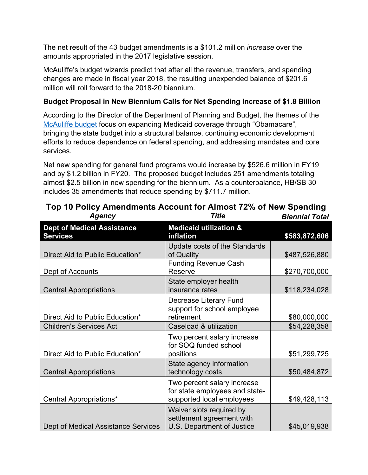The net result of the 43 budget amendments is a \$101.2 million *increase* over the amounts appropriated in the 2017 legislative session.

McAuliffe's budget wizards predict that after all the revenue, transfers, and spending changes are made in fiscal year 2018, the resulting unexpended balance of \$201.6 million will roll forward to the 2018-20 biennium.

# **Budget Proposal in New Biennium Calls for Net Spending Increase of \$1.8 Billion**

According to the Director of the Department of Planning and Budget, the themes of the McAuliffe budget focus on expanding Medicaid coverage through "Obamacare", bringing the state budget into a structural balance, continuing economic development efforts to reduce dependence on federal spending, and addressing mandates and core services.

Net new spending for general fund programs would increase by \$526.6 million in FY19 and by \$1.2 billion in FY20. The proposed budget includes 251 amendments totaling almost \$2.5 billion in new spending for the biennium. As a counterbalance, HB/SB 30 includes 35 amendments that reduce spending by \$711.7 million.

| <b>Dept of Medical Assistance</b><br><b>Services</b> | <b>Medicaid utilization &amp;</b><br>inflation                                             | \$583,872,606 |
|------------------------------------------------------|--------------------------------------------------------------------------------------------|---------------|
| Direct Aid to Public Education*                      | Update costs of the Standards<br>of Quality                                                | \$487,526,880 |
| Dept of Accounts                                     | <b>Funding Revenue Cash</b><br>Reserve                                                     | \$270,700,000 |
| <b>Central Appropriations</b>                        | State employer health<br>insurance rates                                                   | \$118,234,028 |
| Direct Aid to Public Education*                      | Decrease Literary Fund<br>support for school employee<br>retirement                        | \$80,000,000  |
| <b>Children's Services Act</b>                       | Caseload & utilization                                                                     | \$54,228,358  |
| Direct Aid to Public Education*                      | Two percent salary increase<br>for SOQ funded school<br>positions                          | \$51,299,725  |
| <b>Central Appropriations</b>                        | State agency information<br>technology costs                                               | \$50,484,872  |
| Central Appropriations*                              | Two percent salary increase<br>for state employees and state-<br>supported local employees | \$49,428,113  |
| Dept of Medical Assistance Services                  | Waiver slots required by<br>settlement agreement with<br>U.S. Department of Justice        | \$45,019,938  |

**Top 10 Policy Amendments Account for Almost 72% of New Spending** *Agency Title Biennial Total*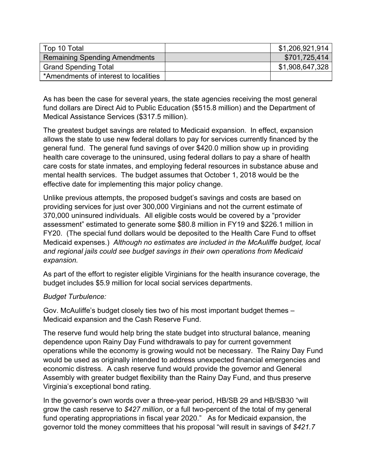| Top 10 Total                          | \$1,206,921,914 |
|---------------------------------------|-----------------|
| <b>Remaining Spending Amendments</b>  | \$701,725,414   |
| <b>Grand Spending Total</b>           | \$1,908,647,328 |
| *Amendments of interest to localities |                 |

As has been the case for several years, the state agencies receiving the most general fund dollars are Direct Aid to Public Education (\$515.8 million) and the Department of Medical Assistance Services (\$317.5 million).

The greatest budget savings are related to Medicaid expansion. In effect, expansion allows the state to use new federal dollars to pay for services currently financed by the general fund. The general fund savings of over \$420.0 million show up in providing health care coverage to the uninsured, using federal dollars to pay a share of health care costs for state inmates, and employing federal resources in substance abuse and mental health services. The budget assumes that October 1, 2018 would be the effective date for implementing this major policy change.

Unlike previous attempts, the proposed budget's savings and costs are based on providing services for just over 300,000 Virginians and not the current estimate of 370,000 uninsured individuals. All eligible costs would be covered by a "provider assessment" estimated to generate some \$80.8 million in FY19 and \$226.1 million in FY20. (The special fund dollars would be deposited to the Health Care Fund to offset Medicaid expenses.) *Although no estimates are included in the McAuliffe budget, local and regional jails could see budget savings in their own operations from Medicaid expansion.*

As part of the effort to register eligible Virginians for the health insurance coverage, the budget includes \$5.9 million for local social services departments.

## *Budget Turbulence:*

Gov. McAuliffe's budget closely ties two of his most important budget themes – Medicaid expansion and the Cash Reserve Fund.

The reserve fund would help bring the state budget into structural balance, meaning dependence upon Rainy Day Fund withdrawals to pay for current government operations while the economy is growing would not be necessary. The Rainy Day Fund would be used as originally intended to address unexpected financial emergencies and economic distress. A cash reserve fund would provide the governor and General Assembly with greater budget flexibility than the Rainy Day Fund, and thus preserve Virginia's exceptional bond rating.

In the governor's own words over a three-year period, HB/SB 29 and HB/SB30 "will grow the cash reserve to *\$427 million*, or a full two-percent of the total of my general fund operating appropriations in fiscal year 2020." As for Medicaid expansion, the governor told the money committees that his proposal "will result in savings of *\$421.7*